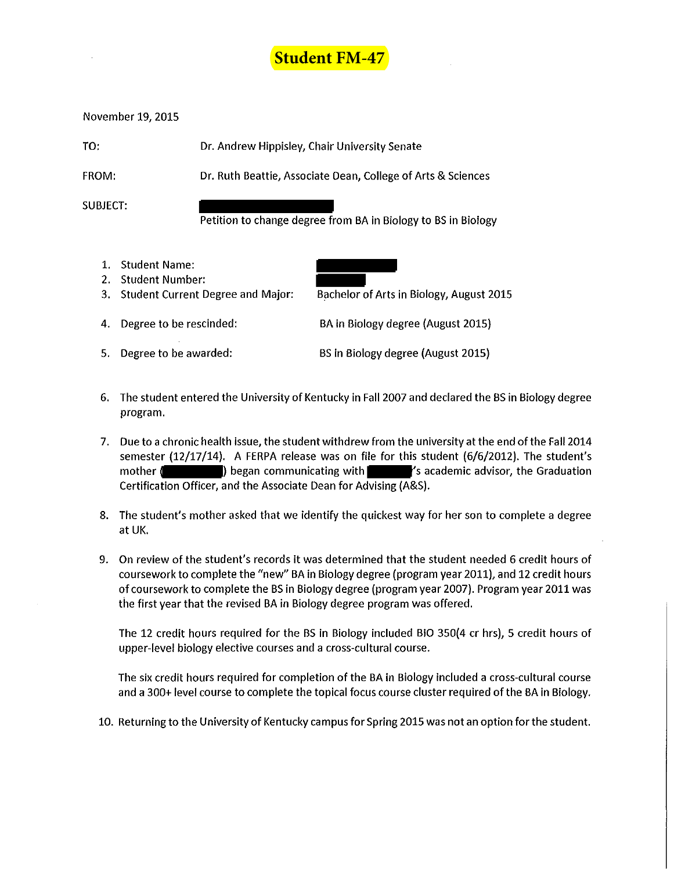

November 19, 2015

| TO:          | Dr. Andrew Hippisley, Chair University Senate                |
|--------------|--------------------------------------------------------------|
| <b>FROM:</b> | Dr. Ruth Beattie, Associate Dean, College of Arts & Sciences |

SUBJECT:

Petition to change degree from BA in Biology to BS in Biology

1. Student Name: 2. Student Number:



- 3. Student Current Degree and Major: Bachelor of Arts in Biology, August 2015
- 4. Degree to be rescinded: BA in Biology degree (August 2015)
- 5. Degree to be awarded: BS in Biology degree (August 2015)
- 6. The student entered the University of Kentucky in Fall 2007 and declared the BS in Biology degree program.
- 7. Due to a chronic health issue, the student withdrew from the university at the end of the Fall 2014 semester (12/17/14). A FERPA release was on file for this student (6/6/2012). The student's mother ( ) began communicating with  $\sim$  's academic advisor, the Graduation Certification Officer, and the Associate Dean for Advising (A&S).
- 8. The student's mother asked that we identify the quickest way for her son to complete a degree at UK.
- 9. On review of the student's records it was determined that the student needed 6 credit hours of coursework to complete the "new" BA in Biology degree (program year 2011), and 12 credit hours of coursework to complete the BS in Biology degree (program year 2007). Program year 2011 was the first year that the revised BA in Biology degree program was offered.

The 12 credit hours required for the BS in Biology included BIO 350(4 er hrs}, 5 credit hours of upper-level biology elective courses and a cross-cultural course.

The six credit hours required for completion of the BA in Biology included a cross-cultural course and a 300+ level course to complete the topical focus course cluster required of the BA in Biology.

10. Returning to the University of Kentucky campus for Spring 2015 was not an option for the student.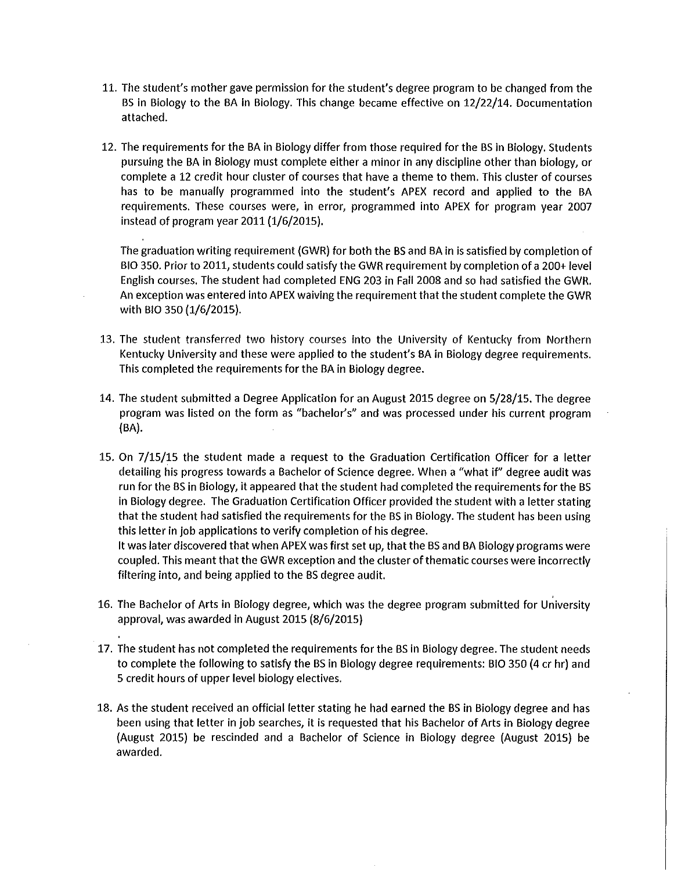- 11. The student's mother gave permission for the student's degree program to be changed from the BS in Biology to the BA in Biology. This change became effective on 12/22/14. Documentation attached.
- 12. The requirements for the BA in Biology differ from those required for the BS in Biology. Students pursuing the BA in Biology must complete either a minor in any discipline other than biology, or complete a 12 credit hour cluster of courses that have a theme to them. This cluster of courses has to be manually programmed into the student's APEX record and applied to the BA requirements. These courses were, in error, programmed into APEX for program year 2007 instead of program year 2011 (1/6/2015).

The graduation writing requirement (GWR) for both the BS and BA in is satisfied by completion of BIO 350. Prior to 2011, students could satisfy the GWR requirement by completion of a 200+ level English courses. The student had completed ENG 203 in Fall 2008 and so had satisfied the GWR. An exception was entered into APEX waiving the requirement that the student complete the GWR with BIO 350 (1/6/2015).

- 13. The student transferred two history courses into the University of Kentucky from Northern Kentucky University and these were applied to the student's BA in Biology degree requirements. This completed the requirements for the BA in Biology degree.
- 14. The student submitted a Degree Application for an August 2015 degree on 5/28/15. The degree program was listed on the form as "bachelor's" and was processed under his current program (BA}.
- 15. On 7 /15/15 the student made a request to the Graduation Certification Officer for a letter detailing his progress towards a Bachelor of Science degree. When a "what if' degree audit was run for the BS in Biology, it appeared that the student had completed the requirements for the BS in Biology degree. The Graduation Certification Officer provided the student with a letter stating that the student had satisfied the requirements for the BS in Biology. The student has been using this letter in job applications to verify completion of his degree. It was later discovered that when APEX was first set up, that the BS and BA Biology programs were coupled. This meant that the GWR exception and the cluster of thematic courses were incorrectly filtering into, and being applied to the BS degree audit.
- 16. The Bachelor of Arts in Biology degree, which was the degree program submitted for University approval, was awarded in August 2015 (8/6/2015)
- 17. The student has not completed the requirements for the BS in Biology degree. The student needs to complete the following to satisfy the BS in Biology degree requirements: BIO 350 (4 er hr} and 5 credit hours of upper level biology electives.
- 18. As the student received an official letter stating he had earned the BS in Biology degree and has been using that letter in job searches, it is requested that his Bachelor of Arts in Biology degree (August 2015} be rescinded and a Bachelor of Science in Biology degree (August 2015) be awarded.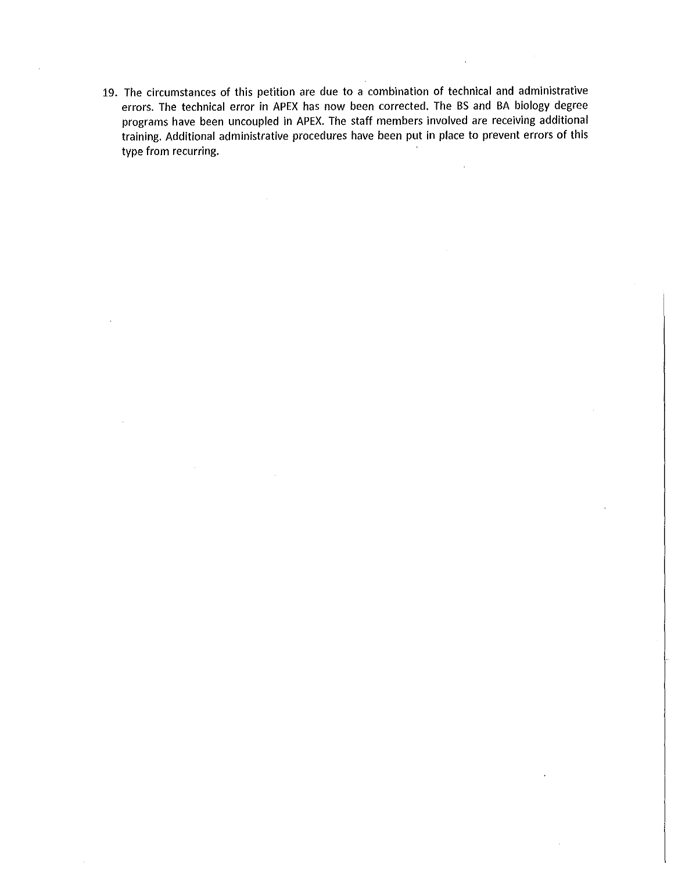19. The circumstances of this petition are due to a combination of technical and administrative errors. The technical error in APEX has now been corrected. The BS and BA biology degree programs have been uncoupled in APEX. The staff members involved are receiving additional training. Additional administrative procedures have been put in place to prevent errors of this type from recurring.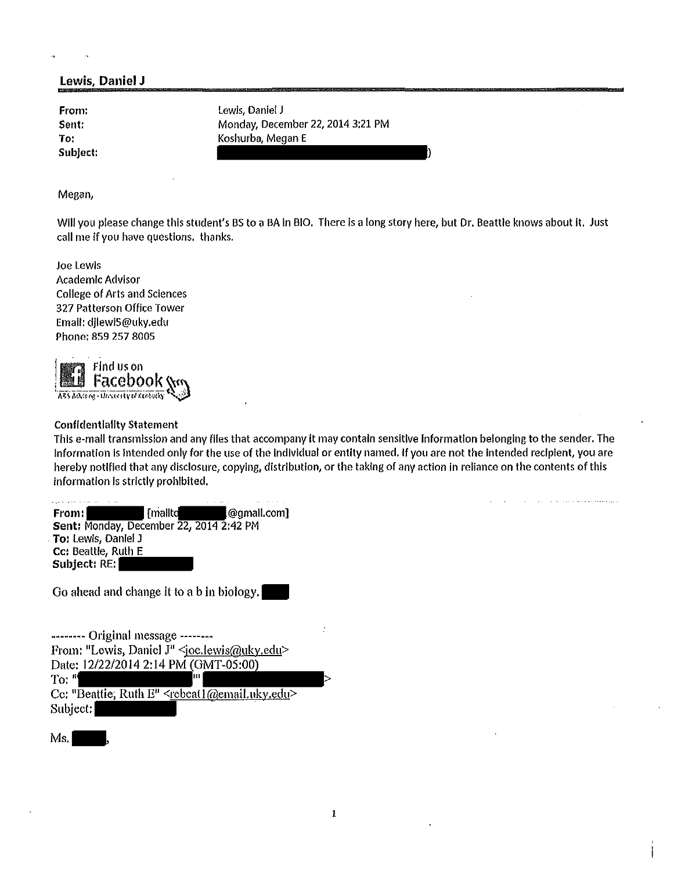## Lewis, Daniel J

Sent: To:

From: Lewis, Daniel J Monday, December 22, 2014 3:21 PM Koshurba, Megan E Subject: ( )

Megan,

Will you please change this student's BS to a BA in BIO. There is a long story here, but Dr. Beattle knows about it. Just call me If you have questions. thanks.

Joe Lewis Academic Advisor College of Arts and Sciences 327 Patterson Office Tower Email: djlewi5@uky.edu Phone: 859 257 8005



## **Confidentiality Statement**

This e-mail transmission and any flies that accompany it may contain sensitive Information belonging to the sender. The Information is intended only for the use of the Individual or entity named. If you are not the intended recipient, you are hereby notified that any disclosure, copying, distribution, or the taking of any action in reliance on the contents of this information Is strictly prohibited.

From: [mallto] [mallto] [mallto] [mallto] [mallto] [Comall.com] Sent: Monday, December 22, 2014 2:42 PM . To: Lewis, Daniel J cc: Beattle, Ruth E Subject: RE:

Go ahead and change it to a b in biology.

-------- Original message -------- From: "Lewis, Daniel J" <joe.lewis@uky.edu> Date: 12/22/2014 2:14 PM (GMT-05:00) To: "'  $\blacksquare$ Cc: "Beattie, Ruth  $E'' \le$ rebeat  $\sqrt{E}$  @email.uky.edu> Subject:

Ms,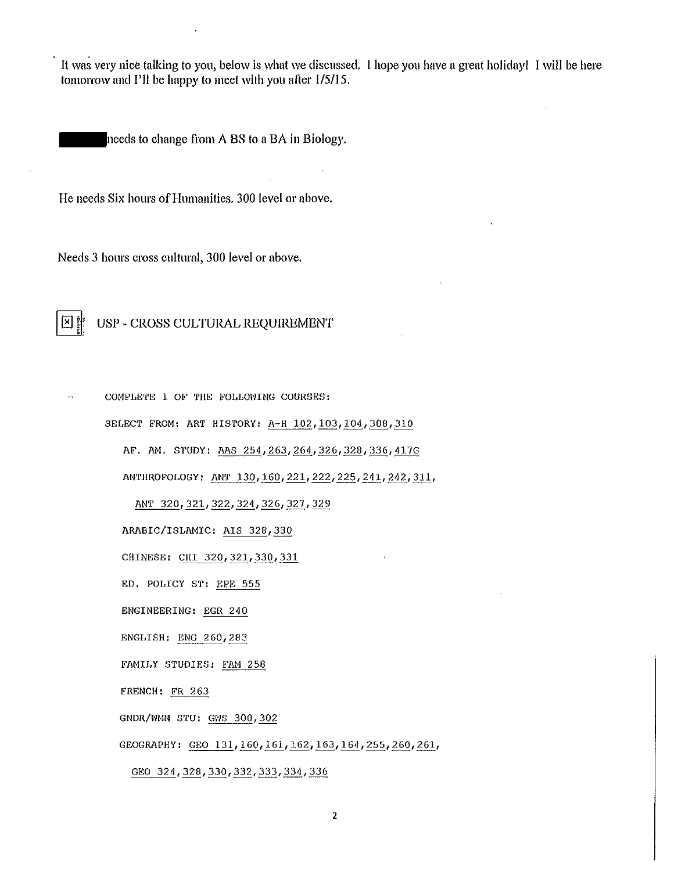It was very nice talking to you, below is what we discussed. I hope you have a great holiday! I will be here tomorrow and I'll be happy to meet with you after 1/5/15.

needs to change from A BS to a BA in Biology.

He needs Six hours of Humanities. 300 level or above.

Needs 3 hours cross cultural, 300 level or above.

## 图靠 USP - CROSS CULTURAL REQUIREMENT

COMPLETE 1 OF THE FOLLOWING COURSES: SELECT FROM: ART HISTORY: A-H 102, 103, 104, 308, 310 AF. AM. S1'UDY: AAS 254,263,264,326,328,336,417G ANTHROPOLOGY: ANT 130, 160, 221, 222, 225, 241, 242, 311, ANT 320, 321, 322, 324, 326, 327, 329 ARABIC/ISLAMIC: AIS 328, 330 CHINESE: CHI 320,321,330,331 ED, POLICY ST: EPE 555 ENGINEERING: EGR 240 ENGLISH: ENG 260, 283 FAMILY STUDIES: FAM 258 FRENCH: FR 263 GNDR/WMN STU: GWS 300, 302 GEOGRAPHY: GEO 131, 160, 161, 162, 163, 164, 255, 260, 261, GEO 324, 328, 330, 332, 333, 334, 336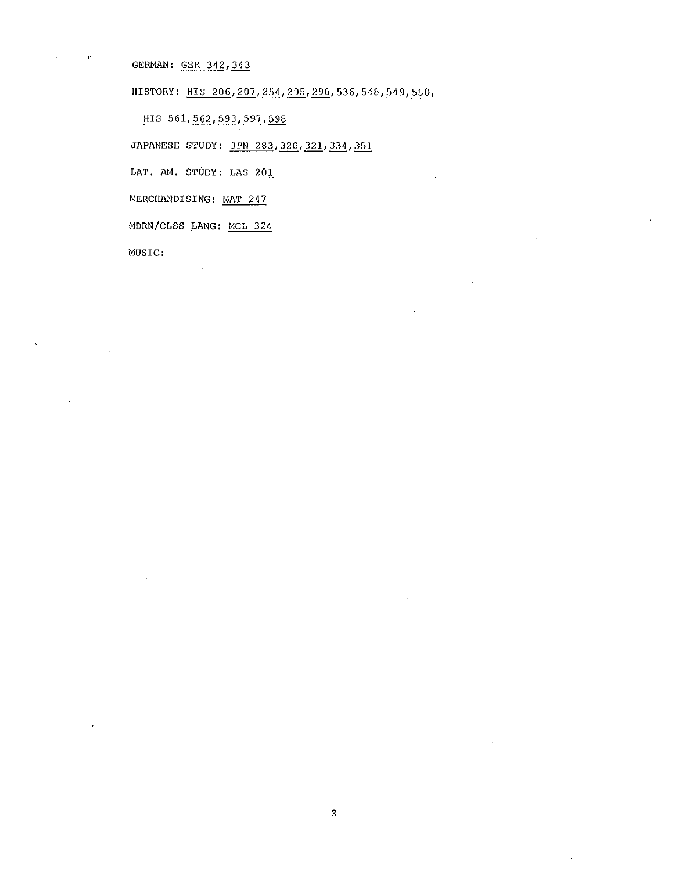GERMAN: GER 342, 343

HISTORY: HIS 206, 207, 254, 295, 296, 536, 548, 549, 550,

HIS 561, 562, 593, 597, 598

JAPANESE STUDY: JPN 283, 320, 321, 334, 351

LAT, AM. STUDY: LAS 201

MERCHANDISING: MAT 247

MDRN/CLSS LANG: MCL 324

MUSIC: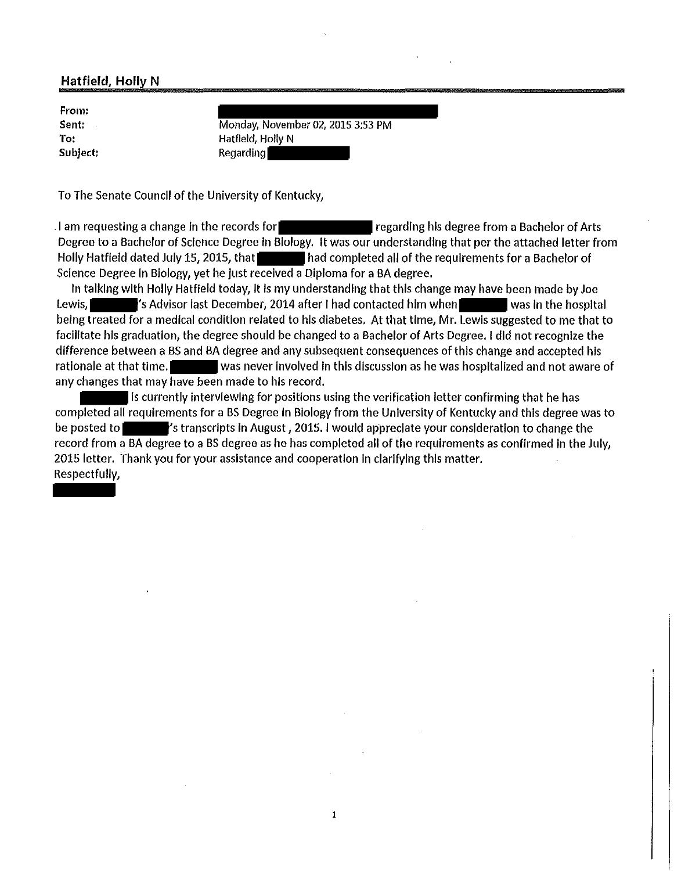## **Hatfield, Holly N**

| From:    |  |
|----------|--|
| Sent:    |  |
| To:      |  |
| Subject: |  |

Monday, November 02, 2015 3:53 PM Hatfield, Holly N Regarding

To The Senate Council of the University of Kentucky,

I am requesting a change in the records for  $\blacksquare$  regarding his degree from a Bachelor of Arts Degree to a Bachelor of Science Degree In Biology. It was our understanding that per the attached letter from Holly Hatfield dated July 15, 2015, that had completed all of the requirements for a Bachelor of Science Degree In Biology, yet he just received a Diploma for a BA degree.

In talking with Holly Hatfield today, It Is my understanding that this change may have been made by Joe Lewis,  $\blacksquare$  's Advisor last December, 2014 after I had contacted him when was in the hospital being treated for a medical condition related to his diabetes. At that time, Mr. Lewis suggested to me that to facllltate his graduation, the degree should be changed to a Bachelor of Arts Degree. I did not recognize the difference between a BS and BA degree and any subsequent consequences of this change and accepted his rationale at that time. was never involved in this discussion as he was hospitalized and not aware of any changes that may have been made to his record.

is currently interviewing for positions using the verification letter confirming that he has completed all requirements for a BS Degree In Biology from the University of Kentucky and this degree was to be posted to **the standard in**'s transcripts in August, 2015. I would appreciate your consideration to change the record from a BA degree to a BS degree as he has completed all of the requirements as confirmed In the July, 2015 letter. Thank you for your assistance and cooperation in clarifying this matter. Respectfully,

1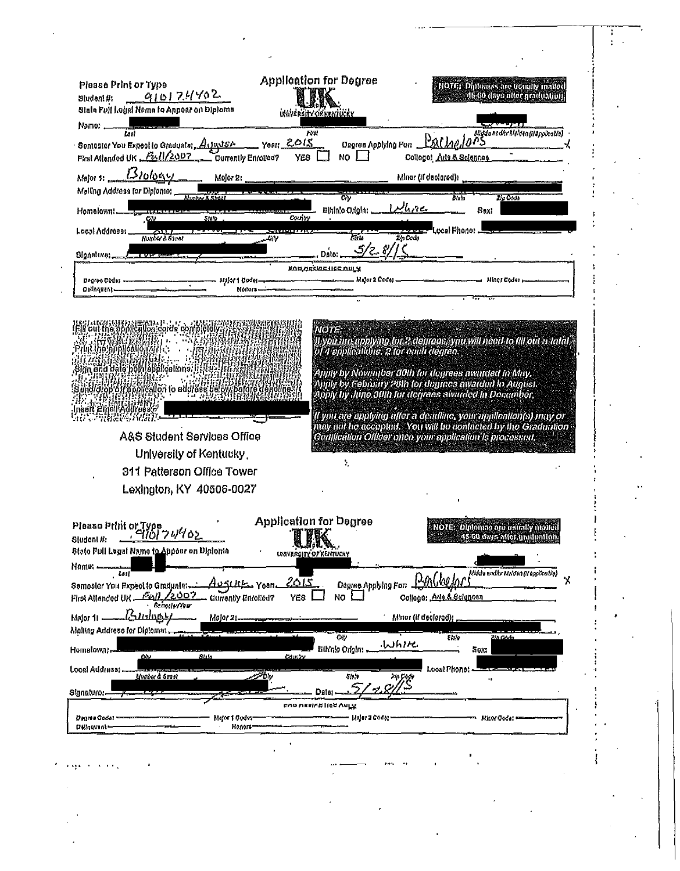| Please Print or Type                                                                                                                                                                                                                                                         |                                               | <b>Application for Degree</b>                      | <b>NOTE: Diplomas are usually maked</b><br>A6-60 days aller graduation.                                      |
|------------------------------------------------------------------------------------------------------------------------------------------------------------------------------------------------------------------------------------------------------------------------------|-----------------------------------------------|----------------------------------------------------|--------------------------------------------------------------------------------------------------------------|
| 910174402<br>Sludent #:<br>Slate Full Logal Neme to Appear on Diploma                                                                                                                                                                                                        |                                               | <b>UŠAVÉRSITY OZKENTLEKY</b>                       |                                                                                                              |
| Namo: _<br><b>Lest</b>                                                                                                                                                                                                                                                       |                                               | Frit                                               | Degree Applying Form BAC Angel of State and triction (il applicatio)                                         |
| Seniosler You Expect to Graduate: Arianist.<br>First Allended UK Full/2007                                                                                                                                                                                                   | Years 2015<br>YE8<br>Currently Enrolled?      | NO I                                               | College! Atla & Solences                                                                                     |
| Major 1: $13101094$                                                                                                                                                                                                                                                          | Mejor 2:                                      |                                                    | Minor (if declared):                                                                                         |
| Malling Address for Diploma:                                                                                                                                                                                                                                                 |                                               | City<br>ین ہیں الر                                 | Zia Code<br>65 a                                                                                             |
| Homelown!                                                                                                                                                                                                                                                                    | SHO<br>County                                 | Einin'o Origin:                                    | 8ы:<br>"Local Phono: .                                                                                       |
| Local Addresss,<br>Hured & Steat                                                                                                                                                                                                                                             | 7. J. J. J. J. J. J. J                        | Z'n Code<br>डर्स प                                 |                                                                                                              |
| Signature;                                                                                                                                                                                                                                                                   |                                               | <b>EQUARKIDE HER OULS</b>                          |                                                                                                              |
| Degree Codes -<br>Driinguent -                                                                                                                                                                                                                                               | = и)}и1 0da—=<br>Komm-                        | Major 2 Codes .                                    | Minor Codes .                                                                                                |
|                                                                                                                                                                                                                                                                              |                                               |                                                    |                                                                                                              |
| EST HAS MIRIDAE ATA ILAN ANG ING ING<br>Fili oui me applicakon carda complete                                                                                                                                                                                                |                                               | <b>NOTE</b>                                        |                                                                                                              |
| N AN VALLANNIN I.<br>MAADAMMANAHA                                                                                                                                                                                                                                            |                                               | of 4 applications. 2 for each degree.              | ll yon mn applying for 2 degrees, you will need to fill out a talal.                                         |
| Sign and Gale hold applications.                                                                                                                                                                                                                                             |                                               |                                                    | Apply by November 30th for degrees awarded in May.                                                           |
| en en Bretten en Britanion<br>Sundigiop off application to addition buoy, potofo                                                                                                                                                                                             |                                               |                                                    | Spply by February 28th for dugracs awarded to August.<br>Apply by June 30th for degrees awarded in Decamber, |
|                                                                                                                                                                                                                                                                              |                                               |                                                    | ll ymt are applying aller a deadline, your application(s) may or                                             |
| A&S Student Services Office                                                                                                                                                                                                                                                  |                                               |                                                    | may not be accepted. You will be confacted by the Graduation                                                 |
|                                                                                                                                                                                                                                                                              |                                               |                                                    | Certification Officer onen your application is processed,                                                    |
| University of Kentucky,                                                                                                                                                                                                                                                      |                                               | ۰.                                                 |                                                                                                              |
| 311 Patterson Office Tower                                                                                                                                                                                                                                                   |                                               |                                                    |                                                                                                              |
| Lexington, KY 40506-0027                                                                                                                                                                                                                                                     |                                               |                                                    |                                                                                                              |
|                                                                                                                                                                                                                                                                              |                                               | <b>Application for Degree</b>                      |                                                                                                              |
|                                                                                                                                                                                                                                                                              |                                               | WK<br>$\mathcal{M}$ , and $\mathcal{M}$            | NOTE: Diplomag are usually molecu<br>45:60 days after unitpution.                                            |
|                                                                                                                                                                                                                                                                              |                                               | UNIVERSITY OF KENTULAY                             |                                                                                                              |
| LS I                                                                                                                                                                                                                                                                         | 2015<br>Yearl ڪئلنڪ                           | Degree Applying For 1200/200                       | Midde and tr Mo'den (Happicalis)<br>χ                                                                        |
| 2002/<br><b>Bungaly/Year</b>                                                                                                                                                                                                                                                 | YE <sub>8</sub><br><b>Gurrently Primiled?</b> | NO.                                                | College: Ana & Sciences                                                                                      |
| بردوستنكا                                                                                                                                                                                                                                                                    | Molor 21-                                     |                                                    | Minor (if declared);                                                                                         |
| CΛ.                                                                                                                                                                                                                                                                          | $g_{\rm dd}$<br><b>County</b>                 | $\overline{cy}$<br>بصروبا لدباء<br>Ethinio Origin: | 443<br>2/8 Godo<br><b>Sex:</b>                                                                               |
| jimber 6 Stasi                                                                                                                                                                                                                                                               | ジーセッ                                          | 55,1<br>24 Cock                                    | Local Phone:                                                                                                 |
| Please Print or Type<br>Change of C10 74702<br>Sludent #:<br>State Full Lugal Name to Appear on Diploma<br>Nemo: -<br>Semaster You Expect to Graduatet-<br>First Allanded UK<br>Malor 11 -<br>Malling Address for Diplomat.<br>Homslown: -<br>Local Address:<br>Signature: - |                                               | $\sim c h$<br>5.<br>Dato:                          |                                                                                                              |
| Degme Godet                                                                                                                                                                                                                                                                  | Mijor 1 Code:-                                | EVO UKSIVE HEE VALX<br>— Unjar 2 Codor -           | <b>Hiror Code:</b>                                                                                           |
| Pelrovint-                                                                                                                                                                                                                                                                   | Roma-                                         |                                                    |                                                                                                              |
|                                                                                                                                                                                                                                                                              |                                               |                                                    |                                                                                                              |
|                                                                                                                                                                                                                                                                              |                                               |                                                    |                                                                                                              |

 $\frac{1}{4}$ 

 $\frac{1}{2}$ 

 $\mathcal{L}_{\text{max}}$  and  $\mathcal{L}_{\text{max}}$  . The  $\mathcal{L}_{\text{max}}$